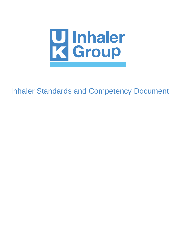

Inhaler Standards and Competency Document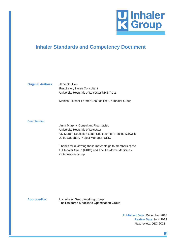

# **Inhaler Standards and Competency Document**

| <b>Original Authors:</b> | Jane Scullion                               |
|--------------------------|---------------------------------------------|
|                          | <b>Respiratory Nurse Consultant</b>         |
|                          | University Hospitals of Leicester NHS Trust |
|                          |                                             |

Monica Fletcher Former Chair of The UK Inhaler Group

#### **Contributors:**

Anna Murphy, Consultant Pharmacist, University Hospitals of Leicester Viv Marsh, Education Lead, Education for Health, Warwick Jules Gaughan, Project Manager, UKIG

Thanks for reviewing these materials go to members of the UK Inhaler Group (UKIG) and The Taskforce Medicines Optimisation Group

**Approvedby:** UK Inhaler Group working group TheTaskforce Medciines Optimisation Group

> **Published Date:** December 2016 **Review Date:** Nov 2019 Next review: DEC 2021

> > **1**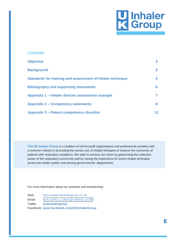

| <b>CONTENT</b>                                             |    |
|------------------------------------------------------------|----|
| <b>Objective</b>                                           | 3  |
| <b>Background</b>                                          | 3  |
| Standards for training and assessment of inhaler technique | 4  |
| <b>Bibliography and supporting documents</b>               | 6  |
| Appendix 1 – Inhaler devices assessment example            | 7  |
| <b>Appendix 2 – Competency statements</b>                  | 8  |
| <b>Appendix 3 – Patient competency checklist</b>           | 11 |

**The UK Inhaler Group** is a coalition of not-for-profit organisations and professional societies with a common interest in promoting the correct use of inhaled therapies to improve the outcomes of patients with respiratory conditions. We seek to achieve our vision by galvanising the collective power of the respiratory community and by raising the importance of correct inhaler technique across the health system and among governmental departments.

For more information about our activities and membership:

Web: https:/[/www.ukinhalergroup.co.uk/](http://www.ukinhalergroup.co.uk/) Email: Twitter: **@ukinhalergroup** Facebook: **[www.facebook.com/UKInhalerGroup](http://www.facebook.com/UKInhalerGroup)** [GILLHALL.UKIG@GMAIL.COM](mailto:gillhall.ukig@gmail.com)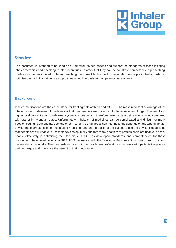

#### <span id="page-3-0"></span>**Objective**

This document is intended to be used as a framework to set, assess and support the standards of those initiating inhaler therapies and checking inhaler techniques, in order that they can demonstrate competency in prescribing medications via an inhaled route and teaching the correct technique for the inhaler device prescribed in order to optimise drug administration. It also provides an outline basis for competency assessment.

#### <span id="page-3-1"></span>**Background**

Inhaled medications are the cornerstone for treating both asthma and COPD. The most important advantage of the inhaled route for delivery of medicines is that they are delivered directly into the airways and lungs. This results in higher local concentrations, with lower systemic exposure and therefore fewer systemic side effects when compared with oral or intravenous routes. Unfortunately, inhalation of medicines can be complicated and difficult for many people, leading to suboptimal use and effect. Effective drug deposition into the lungs depends on the type of inhaler device, the characteristics of the inhaled medicine, and on the ability of the patient to use the device. Recognising that people are still unable to use their devices optimally and that many health care professionals are unable to assist people effectively in optimising their technique, UKIG has developed standards and competencies for those prescribing inhaled medications. In 2019 UKIG has worked with the Taskforce Medicines Optimisation group to adopt the standards nationally. The standards also set out how healthcare professionals can work with patients to optimise their technique and maximise the benefit of their medication.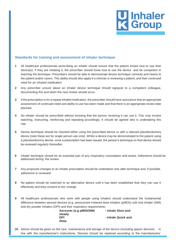

#### <span id="page-4-0"></span>**Standards for training and assessment of inhaler technique**

- **1** All healthcare professionals prescribing an inhaler should ensure that the patient knows how to use their device(s). If they are initiating it, the prescriber should know how to use the device and be competent in teaching the technique. Prescribers should be able to demonstrate device technique correctly and clearly to the patient and/or carers. This ability should also apply if a clinician is reviewing a patient, and their continued need for an inhaled medication.
- **2** Any prescriber unsure about an inhaler device technique should signpost to a competent colleague, documenting this and when the next review should occur.
- **3** If the prescription is for a repeat inhaled medication, the prescriber should have assurance that an appropriate assessment of continued need and ability to use has been made and that there is an appropriate review date planned.
- **4** No inhaler should be prescribed without knowing that the person receiving it can use it. This may involve watching, instructing, reinforcing and repeating accordingly. It should be agreed who is undertaking this role.
- **5** Device technique should be checked either using the prescribed device or with a relevant placebo/dummy device (note these are for single person use only). Whilst a device may be demonstrated to the patient using a placebo/dummy device, once a prescription has been issued, the person's technique on that device should be reviewed regularly thereafter.
- **6** Inhaler technique should be an essential part of any respiratory consultation and review. Adherence should be addressed during the review.
- **7** Any proposed changes to an inhaler prescription should be undertaken only after technique and, if possible, adherence is reviewed.
- **8** No patient should be switched to an alternative device until it has been established that they can use it effectively and they consent to the change.
- **9** All healthcare professionals who work with people using inhalers should understand the fundamental difference between aerosol devices (e.g. pressurised metered dose inhalers (pMDI)) soft mist inhaler (SMI) and dry powder inhalers (DPI) and their inspiratory requirements;

**Aerosols (e.g pMDI/SMI) - inhale Slow and steady DPI - inhale Quick and deep**

**10** Advice should be given on the care, maintenance and storage of the device (including spacer devices) in line with the manufacturer's instructions. Devices should be replaced according to the manufacturers'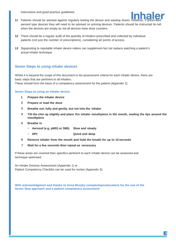instructions and good practice guidelines.



- **11** Patients should be advised against regularly testing the device and wasting doses. However, if prescribed aerosol type devices they will need to be advised on priming devices. Patients should be instructed tto tell when the devices are empty as not all devices have dose counters.
- **12** There should be a regular audit of the quantity of inhalers prescribed and collected by individual patients (not just the number of prescriptions), considering all points of access.
- **13** Signposting to reputable inhaler device videos can supplement but not replace watching a patient's actual inhaler technique.

#### **Seven Steps to using inhaler devices**

Whilst it is beyond the scope of this document to list assessment criteria for each inhaler device, there are basic steps that are pertinent to all inhalers.

These should form the basis of a competency assessment for the patient (Appendix 2).

#### **Seven Steps to using an inhaler device:**

- **1. Prepare the inhaler device**
- **2 Prepare or load the dose**
- **3 Breathe out, fully and gently, but not into the inhaler**
- **4 Tilt the chin up slightly and place the inhaler mouthpiece in the mouth, sealing the lips around the mouthpiece**
- **5 Breathe in**
	- **Aerosol (e.g. pMD) or SMI): Slow and steady**
		- **DPI: Quick and deep**
- **6 Remove inhaler from the mouth and hold the breath for up to 10 seconds**
- **7 Wait for a few seconds then repeat as necessary**

If these areas are covered then specifics pertinent to each inhaler device can be assessed and technique optimised.

An Inhaler Devices Assessment (Appendix 1) or Patient Competency Checklist can be used for review (Appendix 3).

**With acknowledgment and thanks to Anna Murphy (simplestepseducation) for the use of the Seven Step approach and a patient competency assessment**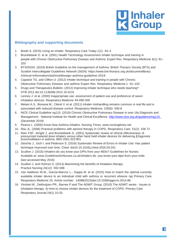

### <span id="page-6-0"></span>**Bibliography and supporting documents**

- 1. Booth A. (2015) Using an inhaler. Respiratory Care Today 1(1): 44–4
- 2. Brocklebank D. et al. (2001) Health Technology Assessment inhaler technique and training in people with Chronic Obstructive Pulmonary Disease and Asthma. Expert Rev. Respiratory Medicine 6(1): 91– 103
- 3. BTS/SIGN. (2019) British Guideline on the management of Asthma. British Thoracic Society (BTS) and Scottish Intercollegiate Guidelines Network (SIGN) https[://www.brit-thoracic.org.uk/documentlibrary](http://www.brit-thoracic.org.uk/documentlibrary) /clinical-information/asthma/btssign-asthma-guideline-2019
- 4. Capstick TG. and Clifton IJ. (2012) Inhaler technique and training in people with Chronic Obstructive Pulmonary Disease and asthma Expert Rev. Respiratory Medicine.1: 91–103
- 5. Drugs and Therapeutics Bulletin. (2012) Improving inhaler technique who needs teaching? DTB 2012 doi:10.1136/dtb.2012.10.0131
- 6. Lenney J. et al. (2000) Inappropriate use: assessment of patient use and preference of seven inhalation devices. Respiratory Medicine 94:496-500
- 7. Melani A.S., Bonavia M., Cilenti V. et al. (2011) Inhaler mishandling remains common in real life and is associated with reduced disease control. Respiratory Medicine. 105(6): 930-8
- 8. NICE Clinical Guideline ng115. (2019) Chronic Obstructive Pulmonary Disease in over 16s:Diagnosis and . Management . National Institute for Health and Clinical Excellence.<http://www.nice.org.uk/guidance/ng115.> (December 2019)
- 9. Pearce L. (2000) Know How Asthma Inhalers. Nursing Times [www.nursingtimes.net](http://www.nursingtimes.net/)
- 10. Rau JL. (2006) Practical problems with aerosol therapy in COPD. Respiratory Care. 51(2): 158-72
- 11. Ram FSF., Wright J. and Brocklebank D. (2001) Systematic review of clinical effectiveness of pressurized metered dose inhalers versus other hand held inhaler devices for delivering β2agonists bronchodilators in asthma. BMJ 2001;323:901
- 12. Sanchis J., Gich I. and Pederson S. (2016) Systematic Review of Errors in Inhaler Use: Has patient technique improved over time. Chest doi10.10.1016/j.chest.2016.03.041
- 13. Scullion J. (2015) Inhalers-do you know your DPIs from your MDIs? Guidelines for Nurses. Available at: [www.GuidelinesforNurses.co.uk/inhalers-do -](http://www.guidelinesfornurses.co.uk/inhalers-do)you-know-your-dpis-from-your-mdis (last accessed May 2016)
- 14. Scullion J. and Holmes S. (2013) Maximising the benefits of inhalation therapy. Practice Nursing 24(12): 592-598
- 15. Van Aalderen W.M., Garcia-Marcos L., Gappa M. et al. (2015) How to match the optimal currently available inhaler device to an individual child with asthma or recurrent wheeze npj Primary Care Respiratory Medicine 25, Article number: 14088(2015)doi:10.1038/npjpcrm.2014.88
- 16. Vincken W., Dekhuijzen PR., Barnes P.and The ADMIT Group. (2010) The ADMIT series Issues in inhalation therapy. 4) How to choose inhaler devices for the treatment of COPD. Primary Care Respiratory Journal.19(1) 10-20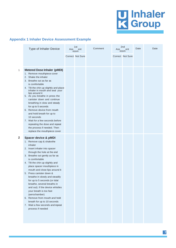# **U** Inhaler<br>**K** Group

# **Appendix 1 Inhaler Device Assessment Example**

|                         | <b>Type of Inhaler Device</b>                                                                                                                                                                                                                                                                                                                                                                                                                                                                                                                                                                                                | Ass | 1st<br>ent<br>essm | Comment | Ass | 2 <sub>nd</sub><br>ent<br>essm | Date | Date |
|-------------------------|------------------------------------------------------------------------------------------------------------------------------------------------------------------------------------------------------------------------------------------------------------------------------------------------------------------------------------------------------------------------------------------------------------------------------------------------------------------------------------------------------------------------------------------------------------------------------------------------------------------------------|-----|--------------------|---------|-----|--------------------------------|------|------|
|                         |                                                                                                                                                                                                                                                                                                                                                                                                                                                                                                                                                                                                                              |     | Correct Not Sure   |         |     | Correct Not Sure               |      |      |
| 1                       | <b>Metered Dose Inhaler (pMDI)</b><br>1. Remove mouthpiece cover<br>2. Shake the inhaler<br>3. Breathe out as far as<br>is comfortable<br>4. Tilt the chin up slightly and place<br>inhaler in mouth and seal your<br>lips around it<br>5. As you breathe in press the<br>canister down and continue<br>breathing in slow and steady<br>for up to 5 seconds<br>6. Remove device from mouth<br>and hold breath for up to<br>10 seconds<br>7. Wait for a few seconds before<br>repeating the dose and repeat<br>the process if needed. Then<br>replace the mouthpiece cover                                                    |     |                    |         |     |                                |      |      |
| $\overline{\mathbf{2}}$ | Spacer device & pMDI<br>1. Remove cap & shake the<br>inhaler<br>2. Insert inhaler into spacer<br>through the hole at the end<br>3. Breathe out gently as far as<br>is comfortable<br>4. Tilt the chin up slightly and<br>place spacer mouthpiece in<br>mouth and close lips around it<br>5. Press canister down &<br>breathe in slowly and steadily<br>for up to 5 seconds (or tidal<br>breathe, several breaths in<br>and out). If the device whistles<br>your breath is too fast<br>(aerochamber)<br>6. Remove from mouth and hold<br>breath for up to 10 seconds<br>7. Wait a few seconds and repeat<br>process if needed |     |                    |         |     |                                |      |      |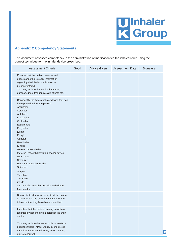

### <span id="page-8-0"></span>**Appendix 2 Competency Statements**

This document assesses competency in the administration of medication via the inhaled route using the correct technique for the inhaler device prescribed.

| <b>Assessment Criteria</b>                                                                                                                                                                                                                                                                                                                                                                                                                                                                                                       | Good | <b>Advice Given</b> | <b>Assessment Date</b> | Signature        |
|----------------------------------------------------------------------------------------------------------------------------------------------------------------------------------------------------------------------------------------------------------------------------------------------------------------------------------------------------------------------------------------------------------------------------------------------------------------------------------------------------------------------------------|------|---------------------|------------------------|------------------|
| Ensures that the patient receives and<br>understands the relevant information<br>regarding the inhaled medication to<br>be administered.<br>This may include the medication name,<br>purpose, dose, frequency, side effects etc.                                                                                                                                                                                                                                                                                                 |      |                     |                        |                  |
| Can identify the type of inhaler device that has<br>been prescribed for the patient:<br>Accuhaler<br>Aerolizer<br>Autohaler<br><b>Breezhaler</b><br>Clickhaler<br>Easibreathe<br>Easyhaler<br>Ellipta<br>Forspiro<br>Genuair<br>Handihaler<br>K-haler<br><b>Metered Dose Inhaler</b><br>Metered Dose inhaler with a spacer device<br><b>NEXThaler</b><br>Novolizer<br>Respimat Soft Mist Inhaler<br>Spiromax<br><b>Stalpex</b><br>Turbohaler<br>Twisthaler<br>Zonda<br>and use of spacer devices with and without<br>face masks. |      |                     |                        |                  |
| Demonstrates the ability to instruct the patient<br>or carer to use the correct technique for the<br>inhaler(s) that they have been prescribed.                                                                                                                                                                                                                                                                                                                                                                                  |      |                     |                        |                  |
| Identifies that the patient is using an optimal<br>technique when inhaling medication via their<br>device.                                                                                                                                                                                                                                                                                                                                                                                                                       |      |                     |                        |                  |
| This may include the use of tools to reinforce<br>good technique (AIMS, 2tone, In-check, clip-<br>tone, flo-tone trainer whistles, Aerochamber,<br>online resource).                                                                                                                                                                                                                                                                                                                                                             |      |                     |                        | $\boldsymbol{8}$ |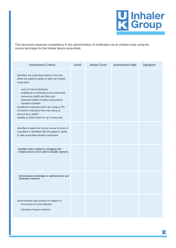

This document assesses competency in the administration of medication via an inhaled route using the correct technique for the inhaler device prescribed.

| <b>Assessment Criteria</b>                                                                                                                                                                                                                                                                                                                                                                                                                                                                                                                                                       | Good | <b>Advice Given</b> | <b>Assessment Date</b> | Signature |
|----------------------------------------------------------------------------------------------------------------------------------------------------------------------------------------------------------------------------------------------------------------------------------------------------------------------------------------------------------------------------------------------------------------------------------------------------------------------------------------------------------------------------------------------------------------------------------|------|---------------------|------------------------|-----------|
| Identifies any potential problems that may<br>affect the patient's ability to take the inhaled<br>medication.<br>Lack of manual dexterity<br>$\qquad \qquad \blacksquare$<br>Inability to co-ordinate press and breath<br>$\overline{a}$<br>manoeuvre (pMDI and SMI only)<br>$\qquad \qquad \blacksquare$<br>Reduced ability to follow instructions<br>$\overline{a}$<br>Impaired eyesight<br>$\overline{a}$<br>Insufficient inspiratory flow rate using a DPI<br>Excessive inspiratory flow rate using an<br>aerosol (e.g. pMDI)<br>Inability to hold breath for up to 5seconds |      |                     |                        |           |
| Identifies & takes the correct course of action if<br>a problem is identified with the patient's ability<br>to take prescribed inhaled medication                                                                                                                                                                                                                                                                                                                                                                                                                                |      |                     |                        |           |
| Identifies when a patient is struggling with<br>multiple devices and is able to simplify regimens                                                                                                                                                                                                                                                                                                                                                                                                                                                                                |      |                     |                        |           |
| Demonstrates knowledge on optimal device and<br>medication selection                                                                                                                                                                                                                                                                                                                                                                                                                                                                                                             |      |                     |                        |           |
| Demonstrates safe practice in relation to:<br>Prevention of cross infection<br>Cleaning of spacer devices                                                                                                                                                                                                                                                                                                                                                                                                                                                                        |      |                     |                        |           |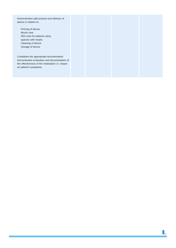| Demonstrates safe practice and delivery of<br>advice in relation to:                                                     |
|--------------------------------------------------------------------------------------------------------------------------|
| Priming of device<br>Mouth care<br>Skin care for patients using                                                          |
| spacers with masks<br>Cleaning of device<br>Storage of device                                                            |
| Completes the appropriate documentation                                                                                  |
| Demonstrates evaluation and documentation of<br>the effectiveness of the medication i.e. impact<br>on patient's symptoms |
|                                                                                                                          |

**10**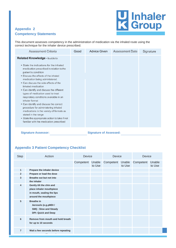# 7 Inhaler<br>3 Group

# **Appendix 2 Competency Statements**

This document assesses competency in the administration of medication via the inhaled route using the correct technique for the inhaler device prescribed.

| Assessment Criteria                                                                                                                                                                                                                                                                                                                                                                                                                                                                                                                                                                                                                                                                 | Good | <b>Advice Given</b> | Assessment Date | Signature |
|-------------------------------------------------------------------------------------------------------------------------------------------------------------------------------------------------------------------------------------------------------------------------------------------------------------------------------------------------------------------------------------------------------------------------------------------------------------------------------------------------------------------------------------------------------------------------------------------------------------------------------------------------------------------------------------|------|---------------------|-----------------|-----------|
| Related Knowledge - Is able to:<br>• State the indications for the inhaled<br>medication prescribed in relation to the<br>patient's condition<br>• Discuss the effects of the inhaled<br>medication being administered.<br>• Can discuss the side effects of the<br>inhaled medication<br>• Can identify and discuss the different<br>types of medication used to treat<br>respiratory conditions available in an<br>inhaler format<br>• Can identify and discuss the correct<br>procedure for administering inhaled<br>medications in the variety of formats as<br>stated in the range<br>• State the appropriate action to take if not<br>familiar with the medication prescribed |      |                     |                 |           |

**Signature Assessor: Signature of Assessed:**

## <span id="page-11-0"></span>**Appendix 3 Patient Competency Checklist**

| <b>Step</b>    | Action                                                                                                      | <b>Device</b>    |        | <b>Device</b> |                  | Device    |                  |
|----------------|-------------------------------------------------------------------------------------------------------------|------------------|--------|---------------|------------------|-----------|------------------|
|                |                                                                                                             | Competent Unable | to Use | Competent     | Unable<br>to Use | Competent | Unable<br>to Use |
| $\mathbf{1}$   | Prepare the inhaler device                                                                                  |                  |        |               |                  |           |                  |
| $\overline{2}$ | Prepare or load the dose                                                                                    |                  |        |               |                  |           |                  |
| 3              | Breathe out but not into<br>the inhaler                                                                     |                  |        |               |                  |           |                  |
| 4              | Gently tilt the chin and<br>place inhaler mouthpiece<br>in mouth, sealing the lips<br>around the mouthpiece |                  |        |               |                  |           |                  |
| 5              | <b>Breathe in</b><br>Aerosols (e.g.pMDI /<br>SMI): Slow and Steady<br><b>DPI: Quick and Deep</b>            |                  |        |               |                  |           |                  |
| 6              | Remove from mouth and hold breath<br>for up to 10 seconds                                                   |                  |        |               |                  |           |                  |
| $\overline{7}$ | Wait a few seconds before repeating                                                                         |                  |        |               |                  |           |                  |